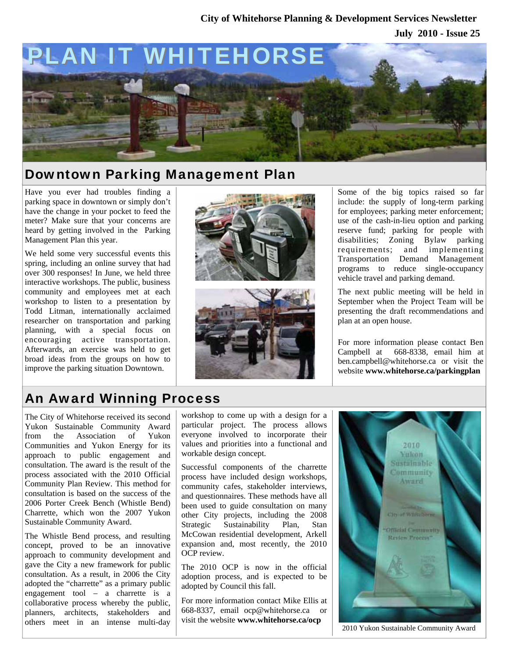### **July 2010 - Issue 25 City of Whitehorse Planning & Development Services Newsletter**



## Downtown Parking Management Plan

Have you ever had troubles finding a parking space in downtown or simply don't have the change in your pocket to feed the meter? Make sure that your concerns are heard by getting involved in the Parking Management Plan this year.

We held some very successful events this spring, including an online survey that had over 300 responses! In June, we held three interactive workshops. The public, business community and employees met at each workshop to listen to a presentation by Todd Litman, internationally acclaimed researcher on transportation and parking planning, with a special focus on encouraging active transportation. Afterwards, an exercise was held to get broad ideas from the groups on how to improve the parking situation Downtown.





Some of the big topics raised so far include: the supply of long-term parking for employees; parking meter enforcement; use of the cash-in-lieu option and parking reserve fund; parking for people with disabilities; Zoning Bylaw parking requirements; and implementing Transportation Demand Management programs to reduce single-occupancy vehicle travel and parking demand.

The next public meeting will be held in September when the Project Team will be presenting the draft recommendations and plan at an open house.

For more information please contact Ben Campbell at 668-8338, email him at ben.campbell@whitehorse.ca or visit the website **www.whitehorse.ca/parkingplan**

# An Award Winning Process

The City of Whitehorse received its second Yukon Sustainable Community Award from the Association of Yukon Communities and Yukon Energy for its approach to public engagement and consultation. The award is the result of the process associated with the 2010 Official Community Plan Review. This method for consultation is based on the success of the 2006 Porter Creek Bench (Whistle Bend) Charrette, which won the 2007 Yukon Sustainable Community Award.

The Whistle Bend process, and resulting concept, proved to be an innovative approach to community development and gave the City a new framework for public consultation. As a result, in 2006 the City adopted the "charrette" as a primary public engagement tool – a charrette is a collaborative process whereby the public, planners, architects, stakeholders and others meet in an intense multi-day

workshop to come up with a design for a particular project. The process allows everyone involved to incorporate their values and priorities into a functional and workable design concept.

Successful components of the charrette process have included design workshops, community cafes, stakeholder interviews, and questionnaires. These methods have all been used to guide consultation on many other City projects, including the 2008 Strategic Sustainability Plan, Stan McCowan residential development, Arkell expansion and, most recently, the 2010 OCP review.

The 2010 OCP is now in the official adoption process, and is expected to be adopted by Council this fall.

For more information contact Mike Ellis at 668-8337, email ocp@whitehorse.ca or visit the website **www.whitehorse.ca/ocp** 



2010 Yukon Sustainable Community Award